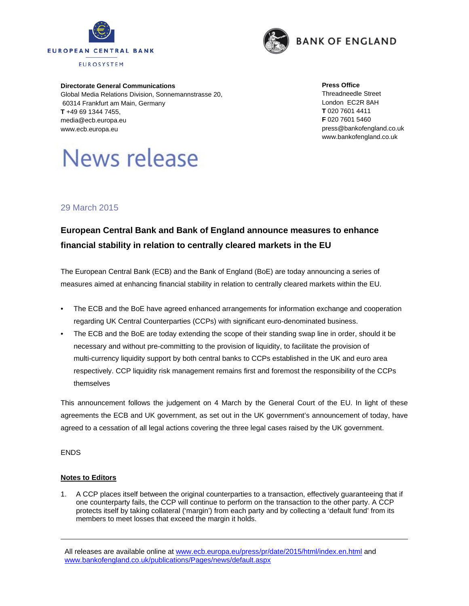



**Directorate General Communications**  Global Media Relations Division, Sonnemannstrasse 20, 60314 Frankfurt am Main, Germany **T** +49 69 1344 7455, media@ecb.europa.eu www.ecb.europa.eu

News release

## **Press Office**  Threadneedle Street London EC2R 8AH **T** 020 7601 4411 **F** 020 7601 5460 press@bankofengland.co.uk www.bankofengland.co.uk

## 29 March 2015

## **European Central Bank and Bank of England announce measures to enhance financial stability in relation to centrally cleared markets in the EU**

The European Central Bank (ECB) and the Bank of England (BoE) are today announcing a series of measures aimed at enhancing financial stability in relation to centrally cleared markets within the EU.

- The ECB and the BoE have agreed enhanced arrangements for information exchange and cooperation regarding UK Central Counterparties (CCPs) with significant euro-denominated business.
- The ECB and the BoE are today extending the scope of their standing swap line in order, should it be necessary and without pre-committing to the provision of liquidity, to facilitate the provision of multi-currency liquidity support by both central banks to CCPs established in the UK and euro area respectively. CCP liquidity risk management remains first and foremost the responsibility of the CCPs themselves

This announcement follows the judgement on 4 March by the General Court of the EU. In light of these agreements the ECB and UK government, as set out in the UK government's announcement of today, have agreed to a cessation of all legal actions covering the three legal cases raised by the UK government.

ENDS

## **Notes to Editors**

1. A CCP places itself between the original counterparties to a transaction, effectively guaranteeing that if one counterparty fails, the CCP will continue to perform on the transaction to the other party. A CCP protects itself by taking collateral ('margin') from each party and by collecting a 'default fund' from its members to meet losses that exceed the margin it holds.

All releases are available online at www.ecb.europa.eu/press/pr/date/2015/html/index.en.html and www.bankofengland.co.uk/publications/Pages/news/default.aspx